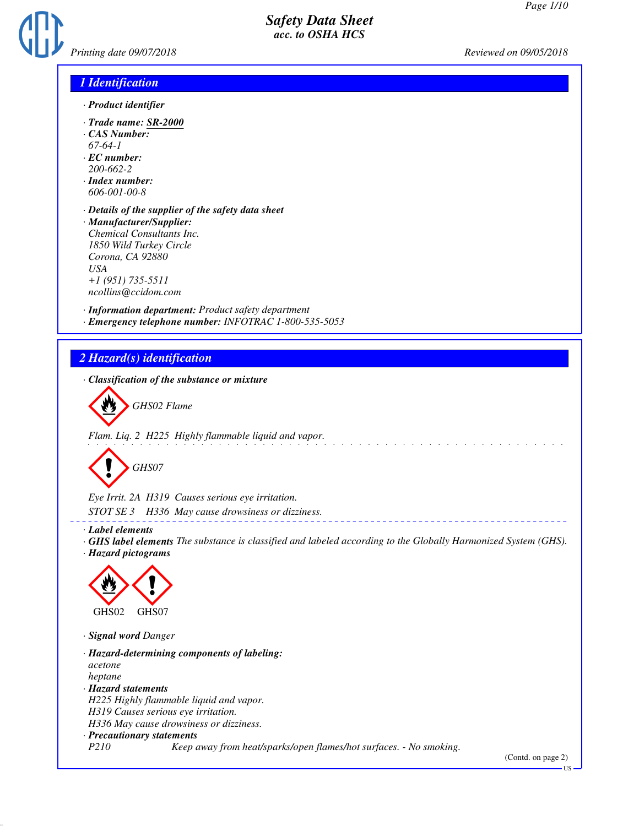

### *1 Identification*

- *· Product identifier*
- *· Trade name: SR-2000*
- *· CAS Number:*
- *67-64-1*
- *· EC number: 200-662-2*
- *· Index number: 606-001-00-8*
- *· Details of the supplier of the safety data sheet*
- *· Manufacturer/Supplier: Chemical Consultants Inc. 1850 Wild Turkey Circle Corona, CA 92880 USA +1 (951) 735-5511 ncollins@ccidom.com*

*· Information department: Product safety department · Emergency telephone number: INFOTRAC 1-800-535-5053*

### *2 Hazard(s) identification*

*· Classification of the substance or mixture*



*Flam. Liq. 2 H225 Highly flammable liquid and vapor.*



*Eye Irrit. 2A H319 Causes serious eye irritation.*

*STOT SE 3 H336 May cause drowsiness or dizziness.*

*· Label elements*

*· GHS label elements The substance is classified and labeled according to the Globally Harmonized System (GHS). · Hazard pictograms*



*· Signal word Danger*

*· Hazard-determining components of labeling: acetone heptane · Hazard statements H225 Highly flammable liquid and vapor. H319 Causes serious eye irritation. H336 May cause drowsiness or dizziness. · Precautionary statements P210 Keep away from heat/sparks/open flames/hot surfaces. - No smoking.*

US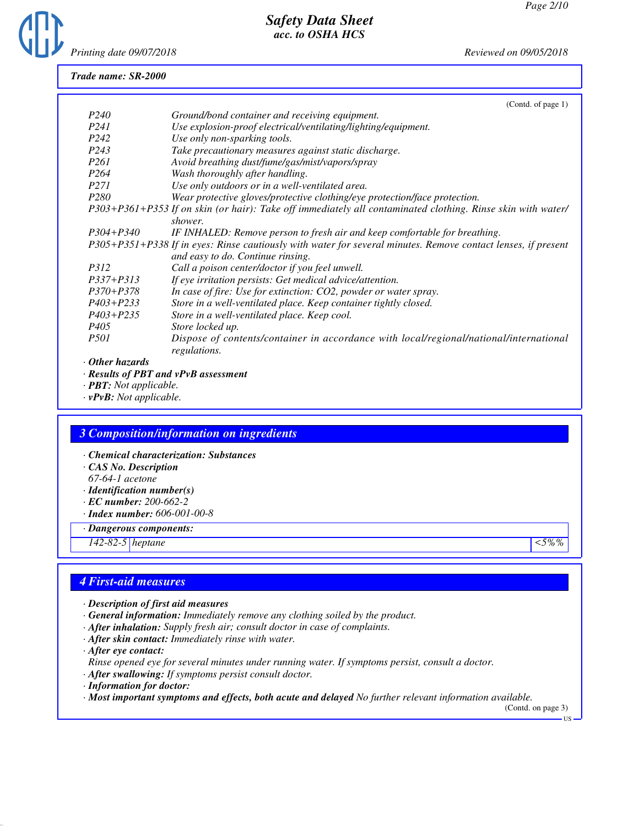

#### *Trade name: SR-2000*

|                   | (Contd. of page 1)                                                                                            |
|-------------------|---------------------------------------------------------------------------------------------------------------|
| P <sub>240</sub>  | Ground/bond container and receiving equipment.                                                                |
| P <sub>24</sub> 1 | Use explosion-proof electrical/ventilating/lighting/equipment.                                                |
| P <sub>242</sub>  | Use only non-sparking tools.                                                                                  |
| P <sub>243</sub>  | Take precautionary measures against static discharge.                                                         |
| P261              | Avoid breathing dust/fume/gas/mist/vapors/spray                                                               |
| P <sub>264</sub>  | Wash thoroughly after handling.                                                                               |
| <i>P271</i>       | Use only outdoors or in a well-ventilated area.                                                               |
| P <sub>280</sub>  | Wear protective gloves/protective clothing/eye protection/face protection.                                    |
|                   | P303+P361+P353 If on skin (or hair): Take off immediately all contaminated clothing. Rinse skin with water/   |
|                   | shower.                                                                                                       |
| $P304 + P340$     | IF INHALED: Remove person to fresh air and keep comfortable for breathing.                                    |
|                   | P305+P351+P338 If in eyes: Rinse cautiously with water for several minutes. Remove contact lenses, if present |
|                   | and easy to do. Continue rinsing.                                                                             |
| <i>P312</i>       | Call a poison center/doctor if you feel unwell.                                                               |
| $P337 + P313$     | If eye irritation persists: Get medical advice/attention.                                                     |
| $P370 + P378$     | In case of fire: Use for extinction: CO2, powder or water spray.                                              |
| $P403 + P233$     | Store in a well-ventilated place. Keep container tightly closed.                                              |
| $P403 + P235$     | Store in a well-ventilated place. Keep cool.                                                                  |
| P <sub>405</sub>  | Store locked up.                                                                                              |
| <i>P501</i>       | Dispose of contents/container in accordance with local/regional/national/international                        |
|                   | regulations.                                                                                                  |
| Other hazards     |                                                                                                               |
|                   |                                                                                                               |

- *· Results of PBT and vPvB assessment*
- *· PBT: Not applicable.*
- *· vPvB: Not applicable.*

#### *3 Composition/information on ingredients*

- *· Chemical characterization: Substances*
- *· CAS No. Description*
- *67-64-1 acetone*
- *· Identification number(s)*
- *· EC number: 200-662-2*
- *· Index number: 606-001-00-8*
- *· Dangerous components:*

*142-82-5 heptane <5%%*

### *4 First-aid measures*

- *· Description of first aid measures*
- *· General information: Immediately remove any clothing soiled by the product.*
- *· After inhalation: Supply fresh air; consult doctor in case of complaints.*
- *· After skin contact: Immediately rinse with water.*
- *· After eye contact:*
- *Rinse opened eye for several minutes under running water. If symptoms persist, consult a doctor.*
- *· After swallowing: If symptoms persist consult doctor.*
- *· Information for doctor:*
- *· Most important symptoms and effects, both acute and delayed No further relevant information available.*

(Contd. on page 3) US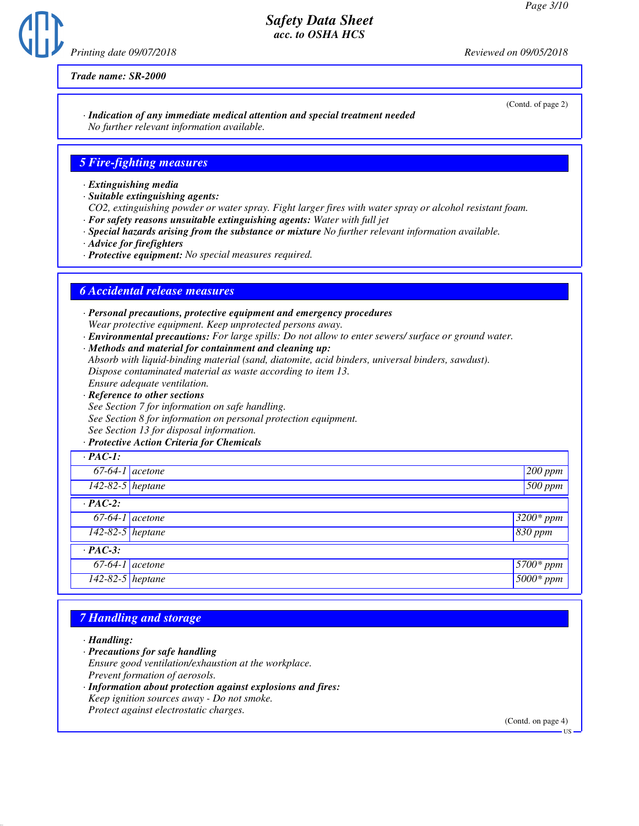*Printing date 09/07/2018 Reviewed on 09/05/2018*

(Contd. of page 2)

*Trade name: SR-2000*

#### *· Indication of any immediate medical attention and special treatment needed No further relevant information available.*

### *5 Fire-fighting measures*

- *· Extinguishing media*
- *· Suitable extinguishing agents:*
- *CO2, extinguishing powder or water spray. Fight larger fires with water spray or alcohol resistant foam.*
- *· For safety reasons unsuitable extinguishing agents: Water with full jet*
- *· Special hazards arising from the substance or mixture No further relevant information available.*
- *· Advice for firefighters*
- *· Protective equipment: No special measures required.*

#### *6 Accidental release measures*

- *· Personal precautions, protective equipment and emergency procedures Wear protective equipment. Keep unprotected persons away.*
- *· Environmental precautions: For large spills: Do not allow to enter sewers/ surface or ground water.*
- *· Methods and material for containment and cleaning up: Absorb with liquid-binding material (sand, diatomite, acid binders, universal binders, sawdust). Dispose contaminated material as waste according to item 13.*
- *Ensure adequate ventilation.*
- *· Reference to other sections See Section 7 for information on safe handling. See Section 8 for information on personal protection equipment. See Section 13 for disposal information.*
- *· Protective Action Criteria for Chemicals*

| $\cdot$ PAC-1:     |                     |
|--------------------|---------------------|
| $67-64-1$ acetone  | $200$ ppm           |
| $142-82-5$ heptane | $500$ ppm           |
| $\cdot$ PAC-2:     |                     |
| $67-64-1$ acetone  | $3200*ppm$          |
| 142-82-5 heptane   | 830 ppm             |
| $\cdot$ PAC-3:     |                     |
| $67-64-1$ acetone  | $\sqrt{5700}$ * ppm |
| 142-82-5 heptane   | $5000*ppm$          |

### *7 Handling and storage*

*· Handling:*

- *· Precautions for safe handling Ensure good ventilation/exhaustion at the workplace.*
- *Prevent formation of aerosols.*
- *· Information about protection against explosions and fires: Keep ignition sources away - Do not smoke. Protect against electrostatic charges.*

(Contd. on page 4)

US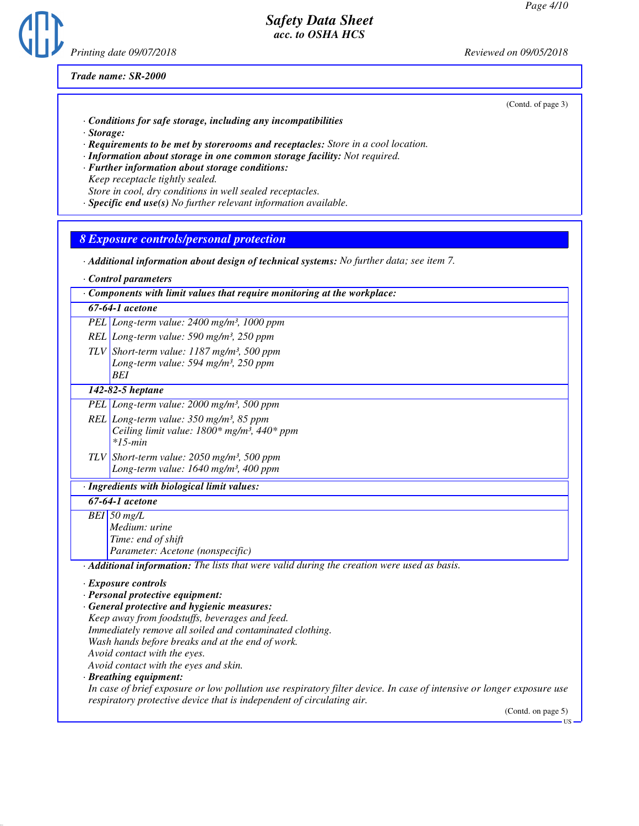

*Trade name: SR-2000*

(Contd. of page 3)

- *· Conditions for safe storage, including any incompatibilities*
- *· Storage:*
- *· Requirements to be met by storerooms and receptacles: Store in a cool location.*
- *· Information about storage in one common storage facility: Not required.*
- *· Further information about storage conditions: Keep receptacle tightly sealed.*
- *Store in cool, dry conditions in well sealed receptacles.*
- *· Specific end use(s) No further relevant information available.*

#### *8 Exposure controls/personal protection*

- *· Additional information about design of technical systems: No further data; see item 7.*
- *· Control parameters*

#### *67-64-1 acetone*

- *PEL Long-term value: 2400 mg/m³, 1000 ppm*
- *REL Long-term value: 590 mg/m³, 250 ppm*
- *TLV Short-term value: 1187 mg/m³, 500 ppm Long-term value: 594 mg/m³, 250 ppm BEI*

#### *142-82-5 heptane*

- *PEL Long-term value: 2000 mg/m³, 500 ppm*
- *REL Long-term value: 350 mg/m³, 85 ppm Ceiling limit value: 1800\* mg/m³, 440\* ppm \*15-min*
- *TLV Short-term value: 2050 mg/m³, 500 ppm Long-term value: 1640 mg/m³, 400 ppm*

#### *· Ingredients with biological limit values:*

#### *67-64-1 acetone*

- *BEI 50 mg/L Medium: urine Time: end of shift*
	- *Parameter: Acetone (nonspecific)*
- *· Additional information: The lists that were valid during the creation were used as basis.*

#### *· Exposure controls*

- *· Personal protective equipment:*
- *· General protective and hygienic measures: Keep away from foodstuffs, beverages and feed. Immediately remove all soiled and contaminated clothing. Wash hands before breaks and at the end of work. Avoid contact with the eyes. Avoid contact with the eyes and skin.*

*· Breathing equipment:*

*In case of brief exposure or low pollution use respiratory filter device. In case of intensive or longer exposure use respiratory protective device that is independent of circulating air.*

(Contd. on page 5)

US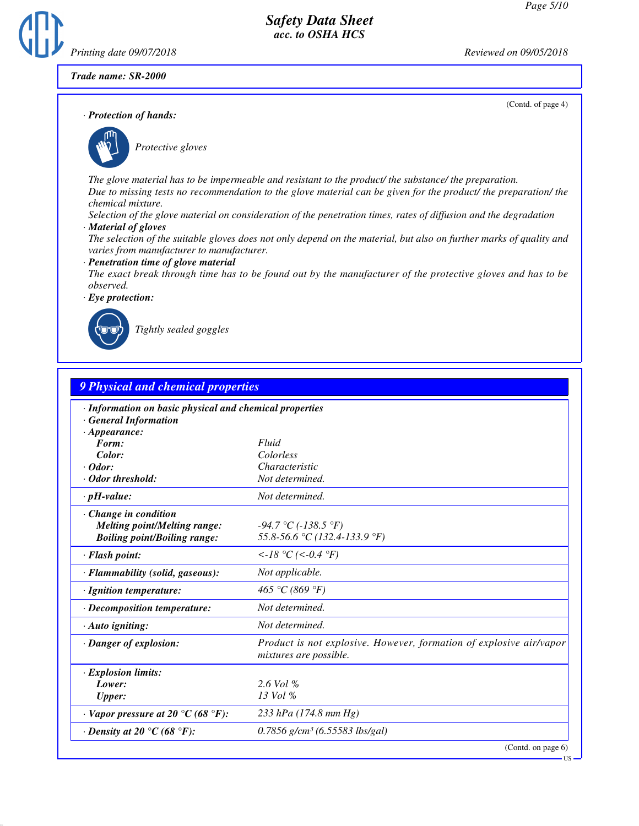(Contd. of page 4)

## *Safety Data Sheet acc. to OSHA HCS*

*Printing date 09/07/2018 Reviewed on 09/05/2018*

*Trade name: SR-2000*

*· Protection of hands:*



\_S*Protective gloves*

*The glove material has to be impermeable and resistant to the product/ the substance/ the preparation. Due to missing tests no recommendation to the glove material can be given for the product/ the preparation/ the chemical mixture.*

*Selection of the glove material on consideration of the penetration times, rates of diffusion and the degradation*

*· Material of gloves*

*The selection of the suitable gloves does not only depend on the material, but also on further marks of quality and varies from manufacturer to manufacturer.*

*· Penetration time of glove material*

*The exact break through time has to be found out by the manufacturer of the protective gloves and has to be observed.*

*· Eye protection:*



\_R*Tightly sealed goggles*

| <b>9 Physical and chemical properties</b>                                                                    |                                                                                               |  |  |  |
|--------------------------------------------------------------------------------------------------------------|-----------------------------------------------------------------------------------------------|--|--|--|
| · Information on basic physical and chemical properties<br><b>General Information</b><br>$\cdot$ Appearance: |                                                                                               |  |  |  |
| Form:                                                                                                        | Fluid                                                                                         |  |  |  |
| Color:                                                                                                       | Colorless                                                                                     |  |  |  |
| $\cdot$ Odor:                                                                                                | Characteristic                                                                                |  |  |  |
| · Odor threshold:                                                                                            | Not determined.                                                                               |  |  |  |
| $\cdot$ pH-value:                                                                                            | Not determined.                                                                               |  |  |  |
| $\cdot$ Change in condition<br><b>Melting point/Melting range:</b><br><b>Boiling point/Boiling range:</b>    | $-94.7 \text{ °C}$ ( $-138.5 \text{ °F}$ )<br>55.8-56.6 °C (132.4-133.9 °F)                   |  |  |  |
| · Flash point:                                                                                               | $\langle -18 \, ^{\circ}\!C \, (\langle -0.4 \, ^{\circ}\!F)$                                 |  |  |  |
| · Flammability (solid, gaseous):                                                                             | Not applicable.                                                                               |  |  |  |
| · Ignition temperature:                                                                                      | 465 °C (869 °F)                                                                               |  |  |  |
| · Decomposition temperature:                                                                                 | Not determined.                                                                               |  |  |  |
| $\cdot$ Auto igniting:                                                                                       | Not determined.                                                                               |  |  |  |
| · Danger of explosion:                                                                                       | Product is not explosive. However, formation of explosive air/vapor<br>mixtures are possible. |  |  |  |
| $\cdot$ Explosion limits:<br>Lower:<br><b>Upper:</b>                                                         | $2.6$ Vol %<br>13 Vol %                                                                       |  |  |  |
| $\cdot$ Vapor pressure at 20 °C (68 °F):                                                                     | 233 hPa (174.8 mm Hg)                                                                         |  |  |  |
| $\cdot$ Density at 20 $\degree$ C (68 $\degree$ F):                                                          | $0.7856$ g/cm <sup>3</sup> (6.55583 lbs/gal)                                                  |  |  |  |
|                                                                                                              | (Contd. on page 6)                                                                            |  |  |  |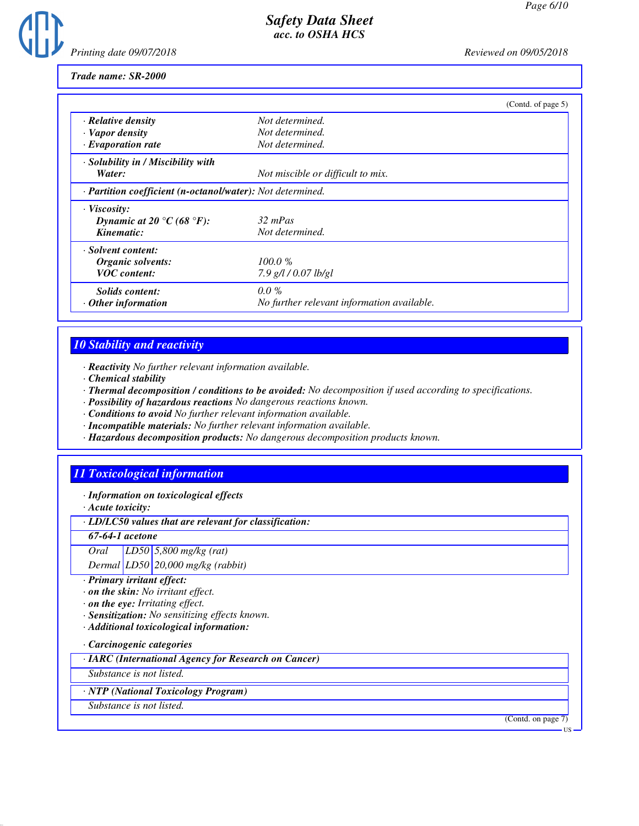

*Trade name: SR-2000*

|                                                            |                                            | (Contd. of page 5) |
|------------------------------------------------------------|--------------------------------------------|--------------------|
| · Relative density                                         | Not determined.                            |                    |
| $\cdot$ Vapor density                                      | Not determined.                            |                    |
| $\cdot$ Evaporation rate                                   | Not determined.                            |                    |
| · Solubility in / Miscibility with                         |                                            |                    |
| Water:                                                     | Not miscible or difficult to mix.          |                    |
| · Partition coefficient (n-octanol/water): Not determined. |                                            |                    |
| $\cdot$ Viscosity:                                         |                                            |                    |
| Dynamic at 20 °C (68 °F):                                  | $32 \, mPas$                               |                    |
| Kinematic:                                                 | Not determined.                            |                    |
| · Solvent content:                                         |                                            |                    |
| Organic solvents:                                          | 100.0%                                     |                    |
| <b>VOC</b> content:                                        | $7.9$ g/l / 0.07 lb/gl                     |                    |
| Solids content:                                            | $0.0\%$                                    |                    |
| <b>Other</b> information                                   | No further relevant information available. |                    |

# *10 Stability and reactivity*

*· Reactivity No further relevant information available.*

- *· Chemical stability*
- *· Thermal decomposition / conditions to be avoided: No decomposition if used according to specifications.*
- *· Possibility of hazardous reactions No dangerous reactions known.*
- *· Conditions to avoid No further relevant information available.*
- *· Incompatible materials: No further relevant information available.*
- *· Hazardous decomposition products: No dangerous decomposition products known.*

# *11 Toxicological information*

*· Information on toxicological effects*

*· Acute toxicity:*

*· LD/LC50 values that are relevant for classification:*

*67-64-1 acetone*

*Oral LD50 5,800 mg/kg (rat)*

*Dermal LD50 20,000 mg/kg (rabbit)*

- *· Primary irritant effect:*
- *· on the skin: No irritant effect.*
- *· on the eye: Irritating effect.*
- *· Sensitization: No sensitizing effects known.*
- *· Additional toxicological information:*

*· Carcinogenic categories*

*· IARC (International Agency for Research on Cancer)*

*Substance is not listed.*

*· NTP (National Toxicology Program)*

*Substance is not listed.*

(Contd. on page 7)

US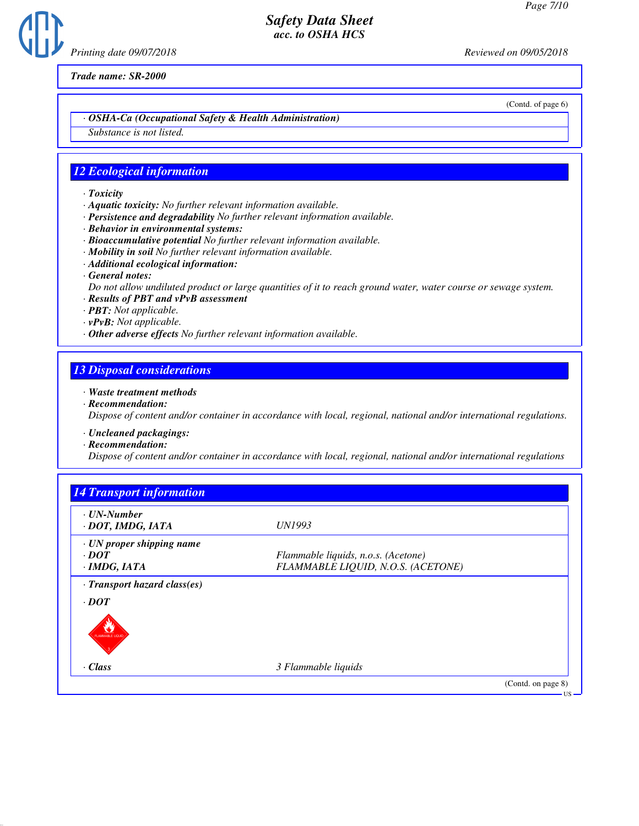*Printing date 09/07/2018 Reviewed on 09/05/2018*

*Trade name: SR-2000*

(Contd. of page 6)

#### *· OSHA-Ca (Occupational Safety & Health Administration)*

*Substance is not listed.*

### *12 Ecological information*

- *· Toxicity*
- *· Aquatic toxicity: No further relevant information available.*
- *· Persistence and degradability No further relevant information available.*
- *· Behavior in environmental systems:*
- *· Bioaccumulative potential No further relevant information available.*
- *· Mobility in soil No further relevant information available.*
- *· Additional ecological information:*
- *· General notes:*
- *Do not allow undiluted product or large quantities of it to reach ground water, water course or sewage system.*
- *· Results of PBT and vPvB assessment*
- *· PBT: Not applicable.*
- *· vPvB: Not applicable.*
- *· Other adverse effects No further relevant information available.*

#### *13 Disposal considerations*

- *· Waste treatment methods*
- *· Recommendation:*

*Dispose of content and/or container in accordance with local, regional, national and/or international regulations.*

- *· Uncleaned packagings:*
- *· Recommendation:*

*Dispose of content and/or container in accordance with local, regional, national and/or international regulations*

| $\cdot$ UN-Number                      |                                     |  |
|----------------------------------------|-------------------------------------|--|
| · DOT, IMDG, IATA                      | UN1993                              |  |
| $\cdot$ UN proper shipping name        |                                     |  |
| $\cdot$ DOT                            | Flammable liquids, n.o.s. (Acetone) |  |
| $\cdot$ IMDG, IATA                     | FLAMMABLE LIQUID, N.O.S. (ACETONE)  |  |
| · Transport hazard class(es)           |                                     |  |
| $\cdot$ DOT<br><b>TANARABLE LIQUID</b> |                                     |  |
| $\cdot$ Class                          | 3 Flammable liquids                 |  |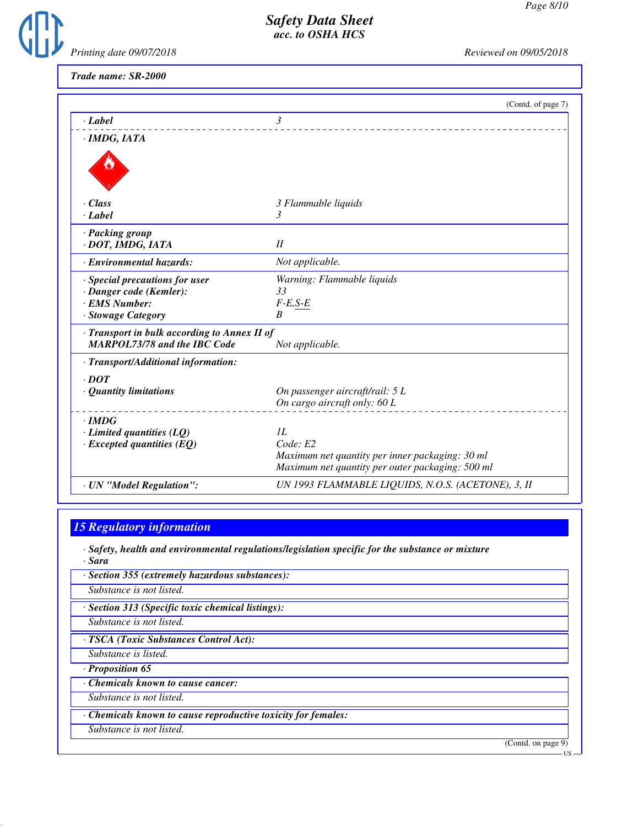

*Trade name: SR-2000*

|                                                                                     | (Contd. of page 7)                                 |
|-------------------------------------------------------------------------------------|----------------------------------------------------|
| $\cdot$ Label                                                                       | 3                                                  |
| · IMDG, IATA                                                                        |                                                    |
|                                                                                     |                                                    |
| $\cdot$ Class                                                                       | 3 Flammable liquids                                |
| $\cdot$ <i>Label</i>                                                                | 3                                                  |
| · Packing group<br>· DOT, IMDG, IATA                                                | II                                                 |
| · Environmental hazards:                                                            | Not applicable.                                    |
| $\cdot$ Special precautions for user                                                | Warning: Flammable liquids                         |
| · Danger code (Kemler):                                                             | 33                                                 |
| · EMS Number:                                                                       | $F-E,S-E$                                          |
| · Stowage Category                                                                  | B                                                  |
| · Transport in bulk according to Annex II of<br><b>MARPOL73/78 and the IBC Code</b> | Not applicable.                                    |
| · Transport/Additional information:                                                 |                                                    |
| $\cdot$ DOT                                                                         |                                                    |
| · Quantity limitations                                                              | On passenger aircraft/rail: 5 L                    |
|                                                                                     | On cargo aircraft only: 60 L                       |
| $\cdot$ IMDG                                                                        |                                                    |
| $\cdot$ Limited quantities (LQ)                                                     | IL                                                 |
| $\cdot$ Excepted quantities (EQ)                                                    | Code: E2                                           |
|                                                                                     | Maximum net quantity per inner packaging: 30 ml    |
|                                                                                     | Maximum net quantity per outer packaging: 500 ml   |
| · UN "Model Regulation":                                                            | UN 1993 FLAMMABLE LIQUIDS, N.O.S. (ACETONE), 3, II |

## *15 Regulatory information*

*· Safety, health and environmental regulations/legislation specific for the substance or mixture*

*· Sara · Section 355 (extremely hazardous substances):*

*Substance is not listed.*

*· Section 313 (Specific toxic chemical listings):*

*Substance is not listed.*

*· TSCA (Toxic Substances Control Act):*

*Substance is listed.*

*· Proposition 65*

*· Chemicals known to cause cancer:*

*Substance is not listed.*

*· Chemicals known to cause reproductive toxicity for females:*

*Substance is not listed.*

(Contd. on page 9)

US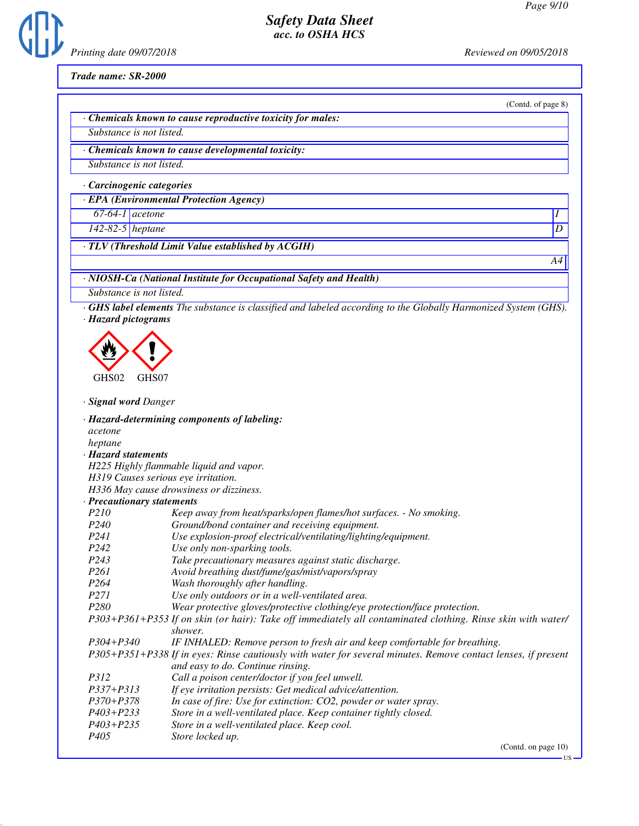

*Trade name: SR-2000*

(Contd. of page 8)

*A4*

*· Chemicals known to cause reproductive toxicity for males:*

*Substance is not listed.*

*· Chemicals known to cause developmental toxicity:*

*Substance is not listed.*

*· Carcinogenic categories*

*· EPA (Environmental Protection Agency)*

*67-64-1 acetone I* 

*142-82-5 heptane D* 

*· TLV (Threshold Limit Value established by ACGIH)*

*· NIOSH-Ca (National Institute for Occupational Safety and Health)*

*Substance is not listed.*

*· GHS label elements The substance is classified and labeled according to the Globally Harmonized System (GHS). · Hazard pictograms*

< GHS02  $\langle \cdot \rangle$ GHS07

*· Signal word Danger*

*· Hazard-determining components of labeling: acetone heptane · Hazard statements H225 Highly flammable liquid and vapor. H319 Causes serious eye irritation. H336 May cause drowsiness or dizziness. · Precautionary statements P210 Keep away from heat/sparks/open flames/hot surfaces. - No smoking. P240 Ground/bond container and receiving equipment. P241 Use explosion-proof electrical/ventilating/lighting/equipment. P242 Use only non-sparking tools. P243 Take precautionary measures against static discharge. P261 Avoid breathing dust/fume/gas/mist/vapors/spray P264 Wash thoroughly after handling. P271 Use only outdoors or in a well-ventilated area. P280 Wear protective gloves/protective clothing/eye protection/face protection. P303+P361+P353 If on skin (or hair): Take off immediately all contaminated clothing. Rinse skin with water/ shower. P304+P340 IF INHALED: Remove person to fresh air and keep comfortable for breathing. P305+P351+P338 If in eyes: Rinse cautiously with water for several minutes. Remove contact lenses, if present and easy to do. Continue rinsing. P312 Call a poison center/doctor if you feel unwell. P337+P313 If eye irritation persists: Get medical advice/attention. P370+P378 In case of fire: Use for extinction: CO2, powder or water spray. P403+P233 Store in a well-ventilated place. Keep container tightly closed. P403+P235 Store in a well-ventilated place. Keep cool. P405 Store locked up.* (Contd. on page 10)